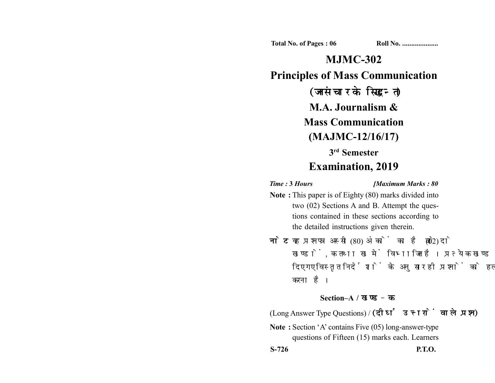**Total No. of Pages : 06 Roll No. ...................** 

**MJMC-302 Principles of Mass Communication** (जनसंचार के सिद्धान्त) **M.A. Journalism & Mass Communication (MAJMC-12/16/17) 3rd Semester Examination, 2019**

*Time :* **3** *Hours [Maximum Marks : 80*

- **Note :** This paper is of Eighty (80) marks divided into two (02) Sections A and B. Attempt the questions contained in these sections according to the detailed instructions given therein.
- नोट: यह प्रश्नपत्र अस्सी (80) अंकों का है जो दो (02) खण्डों, क तथा ख में विभाजित है। प्रत्येक खण्ड में दिए गए विस्तृत निर्देशों के अनुसार ही प्रश्नों को हल करना है।

## **Section–A /**

(Long Answer Type Questions) /

**Note :** Section 'A' contains Five (05) long-answer-type questions of Fifteen (15) marks each. Learners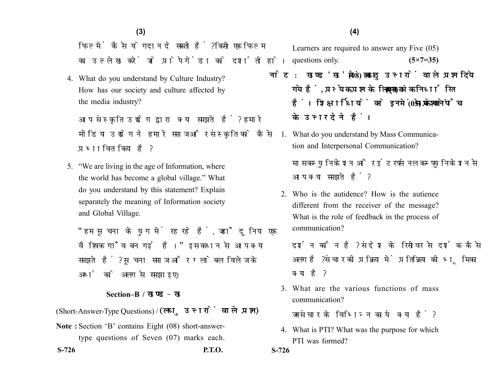फिल्में कैसे योगदान दे सकती हैं ? किसी एक फिल्म का उल्लेख करें जो प्रोपेगेंडा को दर्शाती हो।

4. What do you understand by Culture Industry? How has our society and culture affected by the media industry?

आप संस्कृति उद्योग द्वारा क्या समझते हैं? हमारे मीडिया उद्योग ने हमारे समाज और संस्कृति को कैसे प्रभावित किया है?

5. "We are living in the age of Information, where the world has become a global village." What do you understand by this statement? Explain separately the meaning of Information society and Global Village.

"हम सचना के यग में रह रहे हैं. जहाँ दनिया एक वैश्विक गाँव बन गई है।" इस कथन से आप क्या समझते हैं? सूचना समाज और ग्लोबल विलेज के अर्थ को अलग से समझाइए।

## **Section–B /**

(Short-Answer-Type Questions) / (लघु उत्तरों वाले प्रश्न) **Note :** Section 'B' contains Eight (08) short-answertype questions of Seven (07) marks each. Learners are required to answer any Five (05) questions only. **(5×7=35)** 

- नोट: खण्ड'ख' में आठ (08) लघु उत्तरों वाले प्रश्न दिये गये हैं. प्रत्येक प्रश्न के लिए सात (07) अंक निर्धारित हैं। शिक्षार्थियों को इनमें से केवल पाँच (05) प्रश्नों के उत्तर देने हैं।
	- 1. What do you understand by Mass Communication and Interpersonal Communication?

मास कम्यनिकेशन और इंटरपर्सनल कम्पयनिकेशन से आप क्या समझते हैं?

2. Who is the autidence? How is the autience different from the receiver of the message? What is the role of feedback in the process of communication?

दर्शन कौन है? संदेश के रिसीवर से दर्शक कैसे अलग है ? संचार की प्रक्रिया में प्रतिक्रिया की भूमिका क्या है?

3. What are the various functions of mass communication?

जनसंचार के विभिन्न कार्य क्या हैं?

4. What is PTI? What was the purpose for which PTI was formed?

**S-726 P.T.O. S-726**